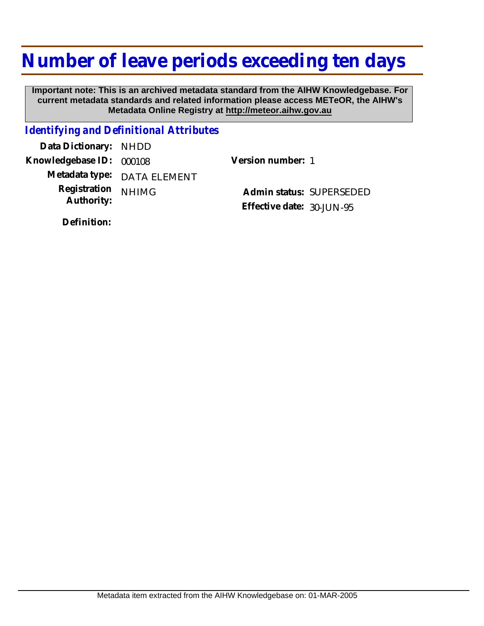## **Number of leave periods exceeding ten days**

 **Important note: This is an archived metadata standard from the AIHW Knowledgebase. For current metadata standards and related information please access METeOR, the AIHW's Metadata Online Registry at http://meteor.aihw.gov.au**

## *Identifying and Definitional Attributes*

**Data Dictionary:** NHDD **Knowledgebase ID:** 000108 **Version number:** 1 **Metadata type:** DATA ELEMENT **Registration** NHIMG **Authority:** 

**Admin status:** SUPERSEDED **Effective date:** 30-JUN-95

**Definition:**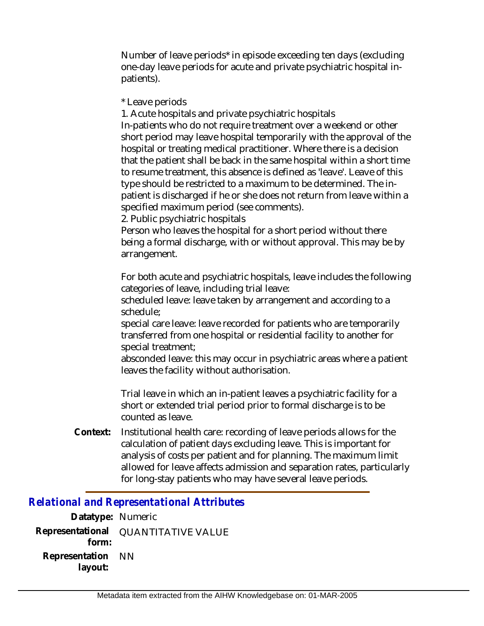Number of leave periods\* in episode exceeding ten days (excluding one-day leave periods for acute and private psychiatric hospital inpatients).

\* Leave periods

1. Acute hospitals and private psychiatric hospitals In-patients who do not require treatment over a weekend or other short period may leave hospital temporarily with the approval of the hospital or treating medical practitioner. Where there is a decision that the patient shall be back in the same hospital within a short time to resume treatment, this absence is defined as 'leave'. Leave of this type should be restricted to a maximum to be determined. The inpatient is discharged if he or she does not return from leave within a specified maximum period (see comments).

2. Public psychiatric hospitals

Person who leaves the hospital for a short period without there being a formal discharge, with or without approval. This may be by arrangement.

For both acute and psychiatric hospitals, leave includes the following categories of leave, including trial leave:

scheduled leave: leave taken by arrangement and according to a schedule;

special care leave: leave recorded for patients who are temporarily transferred from one hospital or residential facility to another for special treatment;

absconded leave: this may occur in psychiatric areas where a patient leaves the facility without authorisation.

Trial leave in which an in-patient leaves a psychiatric facility for a short or extended trial period prior to formal discharge is to be counted as leave.

Institutional health care: recording of leave periods allows for the calculation of patient days excluding leave. This is important for analysis of costs per patient and for planning. The maximum limit allowed for leave affects admission and separation rates, particularly for long-stay patients who may have several leave periods. **Context:**

*Relational and Representational Attributes*

**Datatype:** Numeric **Representational** QUANTITATIVE VALUE  **form: Representation** NN  **layout:**